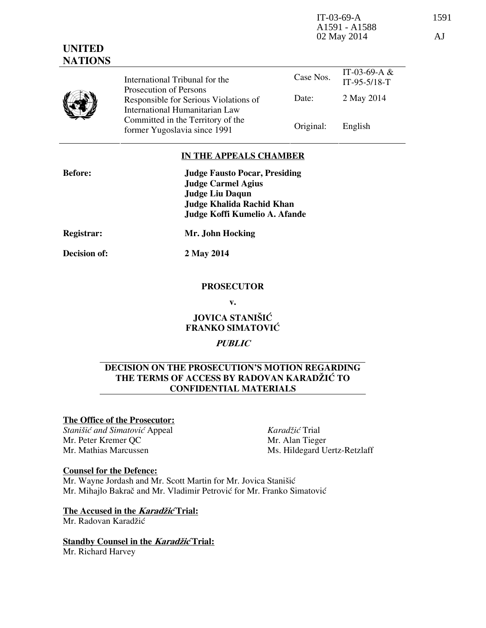IT-03-69-A 1591 A1591 - A1588 02 May 2014 AJ

| <b>UNITED</b><br><b>NATIONS</b> |                                                                         |           |                                  |
|---------------------------------|-------------------------------------------------------------------------|-----------|----------------------------------|
|                                 | International Tribunal for the<br>Prosecution of Persons                | Case Nos. | IT-03-69-A $&$<br>$IT-95-5/18-T$ |
|                                 | Responsible for Serious Violations of<br>International Humanitarian Law | Date:     | 2 May 2014                       |
|                                 | Committed in the Territory of the<br>former Yugoslavia since 1991       | Original: | English                          |

## **IN THE APPEALS CHAMBER**

| <b>Before:</b>    | <b>Judge Fausto Pocar, Presiding</b><br><b>Judge Carmel Agius</b><br><b>Judge Liu Daqun</b><br><b>Judge Khalida Rachid Khan</b><br>Judge Koffi Kumelio A. Afande |
|-------------------|------------------------------------------------------------------------------------------------------------------------------------------------------------------|
| <b>Registrar:</b> | Mr. John Hocking                                                                                                                                                 |

**Decision of: 2 May 2014** 

## **PROSECUTOR**

**v.** 

**JOVICA STANIŠIĆ FRANKO SIMATOVIĆ** 

## **PUBLIC**

## **DECISION ON THE PROSECUTION'S MOTION REGARDING THE TERMS OF ACCESS BY RADOVAN KARADŽIĆ TO CONFIDENTIAL MATERIALS**

## **The Office of the Prosecutor:**

**Stanišić** and Simatović Appeal Mr. Peter Kremer QC Mr. Mathias Marcussen

*Karad'i}* Trial Mr. Alan Tieger Ms. Hildegard Uertz-Retzlaff

## **Counsel for the Defence:**

Mr. Wayne Jordash and Mr. Scott Martin for Mr. Jovica Stanišić Mr. Mihajlo Bakrač and Mr. Vladimir Petrović for Mr. Franko Simatović

# **The Accused in the** *Karadžić* **Trial:**

Mr. Radovan Karadžić

**Standby Counsel in the** *Karadžić* **Trial:** Mr. Richard Harvey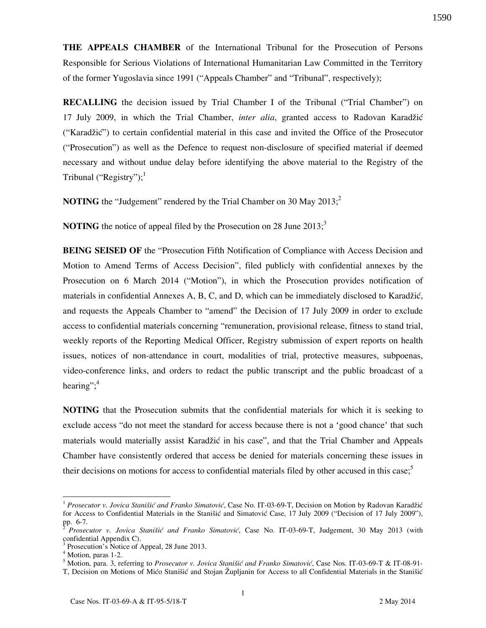**THE APPEALS CHAMBER** of the International Tribunal for the Prosecution of Persons Responsible for Serious Violations of International Humanitarian Law Committed in the Territory of the former Yugoslavia since 1991 ("Appeals Chamber" and "Tribunal", respectively);

**RECALLING** the decision issued by Trial Chamber I of the Tribunal ("Trial Chamber") on 17 July 2009, in which the Trial Chamber, *inter alia*, granted access to Radovan Karadžić ("Karadžić") to certain confidential material in this case and invited the Office of the Prosecutor ("Prosecution") as well as the Defence to request non-disclosure of specified material if deemed necessary and without undue delay before identifying the above material to the Registry of the Tribunal ("Registry");<sup>1</sup>

**NOTING** the "Judgement" rendered by the Trial Chamber on 30 May  $2013$ ;

**NOTING** the notice of appeal filed by the Prosecution on 28 June 2013;<sup>3</sup>

**BEING SEISED OF** the "Prosecution Fifth Notification of Compliance with Access Decision and Motion to Amend Terms of Access Decision", filed publicly with confidential annexes by the Prosecution on 6 March 2014 ("Motion"), in which the Prosecution provides notification of materials in confidential Annexes A, B, C, and D, which can be immediately disclosed to Karadžić, and requests the Appeals Chamber to "amend" the Decision of 17 July 2009 in order to exclude access to confidential materials concerning "remuneration, provisional release, fitness to stand trial, weekly reports of the Reporting Medical Officer, Registry submission of expert reports on health issues, notices of non-attendance in court, modalities of trial, protective measures, subpoenas, video-conference links, and orders to redact the public transcript and the public broadcast of a hearing"; $4$ 

**NOTING** that the Prosecution submits that the confidential materials for which it is seeking to exclude access "do not meet the standard for access because there is not a 'good chance' that such materials would materially assist Karadžić in his case", and that the Trial Chamber and Appeals Chamber have consistently ordered that access be denied for materials concerning these issues in their decisions on motions for access to confidential materials filed by other accused in this case;<sup>5</sup>

 $\overline{a}$ 

<sup>&</sup>lt;sup>1</sup> Prosecutor v. Jovica Stanišić and Franko Simatović, Case No. IT-03-69-T, Decision on Motion by Radovan Karadžić for Access to Confidential Materials in the Stanišić and Simatović Case, 17 July 2009 ("Decision of 17 July 2009"), pp. 6-7.

<sup>2</sup> *Prosecutor v. Jovica Stanišić and Franko Simatović*, Case No. IT-03-69-T, Judgement, 30 May 2013 (with confidential Appendix C).

<sup>3</sup> Prosecution's Notice of Appeal, 28 June 2013.

<sup>4</sup> Motion, paras 1-2.

<sup>&</sup>lt;sup>5</sup> Motion, para. 3, referring to Prosecutor v. Jovica Stanišić and Franko Simatović, Case Nos. IT-03-69-T & IT-08-91-T, Decision on Motions of Mićo Stanišić and Stojan Župljanin for Access to all Confidential Materials in the Stanišić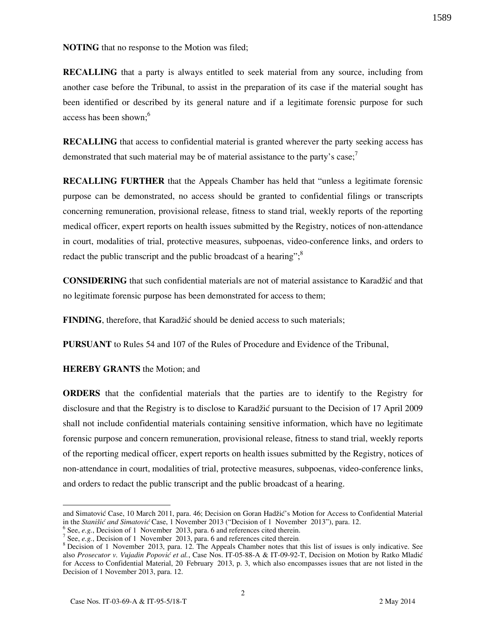**NOTING** that no response to the Motion was filed;

**RECALLING** that a party is always entitled to seek material from any source, including from another case before the Tribunal, to assist in the preparation of its case if the material sought has been identified or described by its general nature and if a legitimate forensic purpose for such access has been shown:<sup>6</sup>

**RECALLING** that access to confidential material is granted wherever the party seeking access has demonstrated that such material may be of material assistance to the party's case;<sup>7</sup>

**RECALLING FURTHER** that the Appeals Chamber has held that "unless a legitimate forensic purpose can be demonstrated, no access should be granted to confidential filings or transcripts concerning remuneration, provisional release, fitness to stand trial, weekly reports of the reporting medical officer, expert reports on health issues submitted by the Registry, notices of non-attendance in court, modalities of trial, protective measures, subpoenas, video-conference links, and orders to redact the public transcript and the public broadcast of a hearing"; $\frac{8}{3}$ 

**CONSIDERING** that such confidential materials are not of material assistance to Karadžić and that no legitimate forensic purpose has been demonstrated for access to them;

**FINDING**, therefore, that Karadžić should be denied access to such materials;

**PURSUANT** to Rules 54 and 107 of the Rules of Procedure and Evidence of the Tribunal,

**HEREBY GRANTS** the Motion; and

**ORDERS** that the confidential materials that the parties are to identify to the Registry for disclosure and that the Registry is to disclose to Karadžić pursuant to the Decision of 17 April 2009 shall not include confidential materials containing sensitive information, which have no legitimate forensic purpose and concern remuneration, provisional release, fitness to stand trial, weekly reports of the reporting medical officer, expert reports on health issues submitted by the Registry, notices of non-attendance in court, modalities of trial, protective measures, subpoenas, video-conference links, and orders to redact the public transcript and the public broadcast of a hearing.

 $\overline{a}$ 

and Simatović Case, 10 March 2011, para. 46; Decision on Goran Hadžić's Motion for Access to Confidential Material in the *Stanišić and Simatović* Case, 1 November 2013 ("Decision of 1 November 2013"), para. 12.

<sup>&</sup>lt;sup>6</sup> See, *e.g.*, Decision of 1 November 2013, para. 6 and references cited therein.

<sup>&</sup>lt;sup>7</sup> See, *e.g.*, Decision of 1 November 2013, para. 6 and references cited therein.

 $8$  Decision of 1 November 2013, para. 12. The Appeals Chamber notes that this list of issues is only indicative. See also Prosecutor v. Vujadin Popović et al., Case Nos. IT-05-88-A & IT-09-92-T, Decision on Motion by Ratko Mladić for Access to Confidential Material, 20 February 2013, p. 3, which also encompasses issues that are not listed in the Decision of 1 November 2013, para. 12.